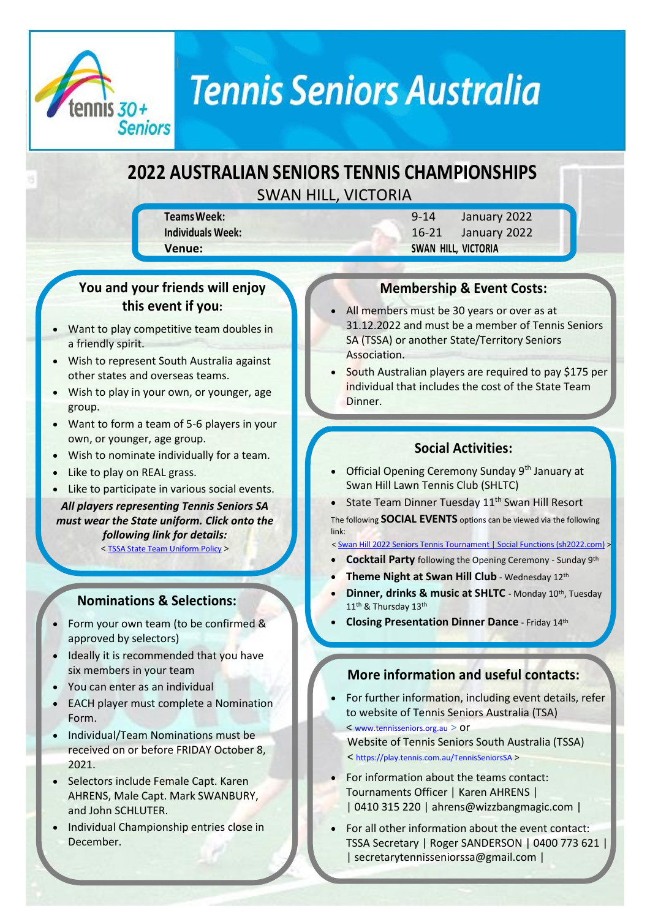

## **Tennis Seniors Australia**

### **2022 AUSTRALIAN SENIORS TENNIS CHAMPIONSHIPS** SWAN HILL, VICTORIA

**TeamsWeek:** 9-14 January 2022 **Individuals Week:** 16-21 January 2022 **Venue: SWAN HILL, VICTORIA**

#### **You and your friends will enjoy this event if you:**

- Want to play competitive team doubles in a friendly spirit.
- Wish to represent South Australia against other states and overseas teams.
- Wish to play in your own, or younger, age group.
- Want to form a team of 5-6 players in your own, or younger, age group.
- Wish to nominate individually for a team.
- Like to play on REAL grass.
- Like to participate in various social events.

*All players representing Tennis Seniors SA must wear the State uniform. Click onto the following link for details:*

< [TSSA State Team Uniform Policy](https://play.tennis.com.au/Library/TennisSeniorsSA?command=Proxy&lang=en&type=Files¤tFolder=%2FTennis%2FTournaments%2F&hash=0d622f96798ccb48519d83913a0fba52e266ecd7&fileName=TSSA%20State%20Team%20Uniform%20Policy.pdf) >

#### **Nominations & Selections:**

- Form your own team (to be confirmed & approved by selectors)
- Ideally it is recommended that you have six members in your team
- You can enter as an individual
- EACH player must complete a Nomination Form.
- Individual/Team Nominations must be received on or before FRIDAY October 8, 2021.
- Selectors include Female Capt. Karen AHRENS, Male Capt. Mark SWANBURY, and John SCHLUTER.
- Individual Championship entries close in December.

#### **Membership & Event Costs:**

- All members must be 30 years or over as at 31.12.2022 and must be a member of Tennis Seniors SA (TSSA) or another State/Territory Seniors Association.
- South Australian players are required to pay \$175 per individual that includes the cost of the State Team Dinner.

#### **Social Activities:**

- Official Opening Ceremony Sunday 9<sup>th</sup> January at Swan Hill Lawn Tennis Club (SHLTC)
- State Team Dinner Tuesday  $11<sup>th</sup>$  Swan Hill Resort The following **SOCIAL EVENTS** options can be viewed via the following link:

[< Swan Hill 2022 Seniors Tennis Tournament | Social Functions \(sh2022.com\)](https://www.sh2022.com/social-events) >

- **Cocktail Party** following the Opening Ceremony Sunday 9th
- **Theme Night at Swan Hill Club** Wednesday 12th
- **Dinner, drinks & music at SHLTC** Monday 10<sup>th</sup>, Tuesday 11<sup>th</sup> & Thursday 13<sup>th</sup>
- **Closing Presentation Dinner Dance** Friday 14th

#### **More information and useful contacts:**

- For further information, including event details, refer to website of Tennis Seniors Australia (TSA) < [www.tennisseniors.org.au](http://www.tennisseniors.org.au/) > or Website of Tennis Seniors South Australia (TSSA) < <https://play.tennis.com.au/TennisSeniorsSA> >
- For information about the teams contact: Tournaments Officer | Karen AHRENS | | 0410 315 220 [| ahrens@wizzbangmagic.com](mailto:ahrens@wizzbangmagic.com) |
- For all other information about the event contact: TSSA Secretary | Roger SANDERSON | 0400 773 621 | | secretarytennisseniorssa@gmail.com |